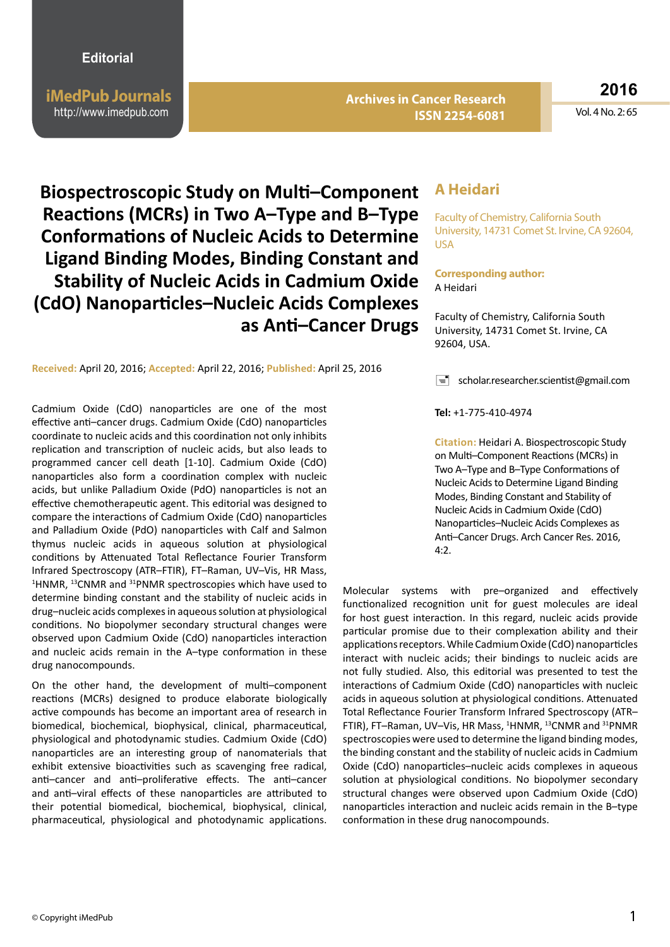**iMedPub Journals** http://www.imedpub.com

**Archives in Cancer Research ISSN 2254-6081**

**2016**

Vol. 4 No. 2: 65

**Biospectroscopic Study on Multi–Component Reactions (MCRs) in Two A–Type and B–Type Conformations of Nucleic Acids to Determine Ligand Binding Modes, Binding Constant and Stability of Nucleic Acids in Cadmium Oxide (CdO) Nanoparticles–Nucleic Acids Complexes as Anti–Cancer Drugs**

**Received:** April 20, 2016; **Accepted:** April 22, 2016; **Published:** April 25, 2016

Cadmium Oxide (CdO) nanoparticles are one of the most effective anti–cancer drugs. Cadmium Oxide (CdO) nanoparticles coordinate to nucleic acids and this coordination not only inhibits replication and transcription of nucleic acids, but also leads to programmed cancer cell death [1-10]. Cadmium Oxide (CdO) nanoparticles also form a coordination complex with nucleic acids, but unlike Palladium Oxide (PdO) nanoparticles is not an effective chemotherapeutic agent. This editorial was designed to compare the interactions of Cadmium Oxide (CdO) nanoparticles and Palladium Oxide (PdO) nanoparticles with Calf and Salmon thymus nucleic acids in aqueous solution at physiological conditions by Attenuated Total Reflectance Fourier Transform Infrared Spectroscopy (ATR–FTIR), FT–Raman, UV–Vis, HR Mass, <sup>1</sup>HNMR, <sup>13</sup>CNMR and <sup>31</sup>PNMR spectroscopies which have used to determine binding constant and the stability of nucleic acids in drug–nucleic acids complexes in aqueous solution at physiological conditions. No biopolymer secondary structural changes were observed upon Cadmium Oxide (CdO) nanoparticles interaction and nucleic acids remain in the A–type conformation in these drug nanocompounds.

On the other hand, the development of multi–component reactions (MCRs) designed to produce elaborate biologically active compounds has become an important area of research in biomedical, biochemical, biophysical, clinical, pharmaceutical, physiological and photodynamic studies. Cadmium Oxide (CdO) nanoparticles are an interesting group of nanomaterials that exhibit extensive bioactivities such as scavenging free radical, anti–cancer and anti–proliferative effects. The anti–cancer and anti–viral effects of these nanoparticles are attributed to their potential biomedical, biochemical, biophysical, clinical, pharmaceutical, physiological and photodynamic applications.

## **A Heidari**

Faculty of Chemistry, California South University, 14731 Comet St. Irvine, CA 92604, USA

## **Corresponding author:** A Heidari

Faculty of Chemistry, California South University, 14731 Comet St. Irvine, CA 92604, USA.

 $\equiv$  [scholar.researcher.scientist@gmail.com](mailto:Scholar.Researcher.Scientist@gmail.com)

**Tel:** +1-775-410-4974

**Citation:** Heidari A. Biospectroscopic Study on Multi–Component Reactions (MCRs) in Two A–Type and B–Type Conformations of Nucleic Acids to Determine Ligand Binding Modes, Binding Constant and Stability of Nucleic Acids in Cadmium Oxide (CdO) Nanoparticles–Nucleic Acids Complexes as Anti–Cancer Drugs. Arch Cancer Res. 2016,  $4.2$ 

Molecular systems with pre–organized and effectively functionalized recognition unit for guest molecules are ideal for host guest interaction. In this regard, nucleic acids provide particular promise due to their complexation ability and their applications receptors. While Cadmium Oxide (CdO) nanoparticles interact with nucleic acids; their bindings to nucleic acids are not fully studied. Also, this editorial was presented to test the interactions of Cadmium Oxide (CdO) nanoparticles with nucleic acids in aqueous solution at physiological conditions. Attenuated Total Reflectance Fourier Transform Infrared Spectroscopy (ATR– FTIR), FT-Raman, UV-Vis, HR Mass, <sup>1</sup>HNMR, <sup>13</sup>CNMR and <sup>31</sup>PNMR spectroscopies were used to determine the ligand binding modes, the binding constant and the stability of nucleic acids in Cadmium Oxide (CdO) nanoparticles–nucleic acids complexes in aqueous solution at physiological conditions. No biopolymer secondary structural changes were observed upon Cadmium Oxide (CdO) nanoparticles interaction and nucleic acids remain in the B–type conformation in these drug nanocompounds.